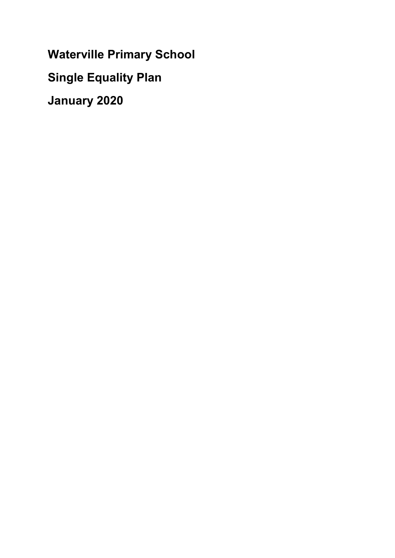Waterville Primary School Single Equality Plan January 2020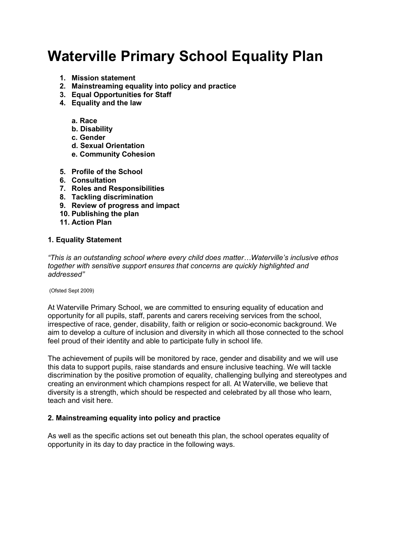# Waterville Primary School Equality Plan

- 1. Mission statement
- 2. Mainstreaming equality into policy and practice
- 3. Equal Opportunities for Staff
- 4. Equality and the law
	- a. Race
	- b. Disability
	- c. Gender
	- d. Sexual Orientation
	- e. Community Cohesion
- 5. Profile of the School
- 6. Consultation
- 7. Roles and Responsibilities
- 8. Tackling discrimination
- 9. Review of progress and impact
- 10. Publishing the plan
- 11. Action Plan

#### 1. Equality Statement

"This is an outstanding school where every child does matter…Waterville's inclusive ethos together with sensitive support ensures that concerns are quickly highlighted and addressed"

(Ofsted Sept 2009)

At Waterville Primary School, we are committed to ensuring equality of education and opportunity for all pupils, staff, parents and carers receiving services from the school, irrespective of race, gender, disability, faith or religion or socio-economic background. We aim to develop a culture of inclusion and diversity in which all those connected to the school feel proud of their identity and able to participate fully in school life.

The achievement of pupils will be monitored by race, gender and disability and we will use this data to support pupils, raise standards and ensure inclusive teaching. We will tackle discrimination by the positive promotion of equality, challenging bullying and stereotypes and creating an environment which champions respect for all. At Waterville, we believe that diversity is a strength, which should be respected and celebrated by all those who learn, teach and visit here.

#### 2. Mainstreaming equality into policy and practice

As well as the specific actions set out beneath this plan, the school operates equality of opportunity in its day to day practice in the following ways.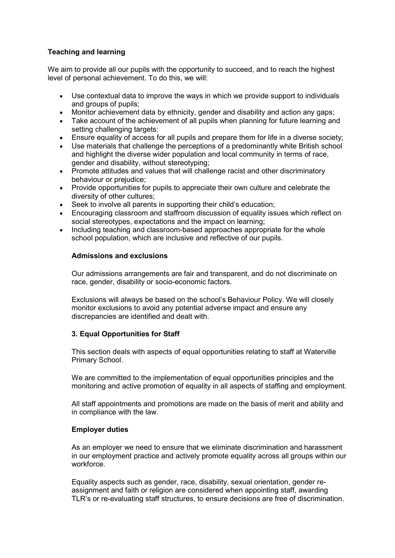# Teaching and learning

We aim to provide all our pupils with the opportunity to succeed, and to reach the highest level of personal achievement. To do this, we will:

- Use contextual data to improve the ways in which we provide support to individuals and groups of pupils;
- Monitor achievement data by ethnicity, gender and disability and action any gaps;
- Take account of the achievement of all pupils when planning for future learning and setting challenging targets:
- Ensure equality of access for all pupils and prepare them for life in a diverse society;
- Use materials that challenge the perceptions of a predominantly white British school and highlight the diverse wider population and local community in terms of race, gender and disability, without stereotyping;
- Promote attitudes and values that will challenge racist and other discriminatory behaviour or prejudice;
- Provide opportunities for pupils to appreciate their own culture and celebrate the diversity of other cultures;
- Seek to involve all parents in supporting their child's education;
- Encouraging classroom and staffroom discussion of equality issues which reflect on social stereotypes, expectations and the impact on learning;
- Including teaching and classroom-based approaches appropriate for the whole school population, which are inclusive and reflective of our pupils.

### Admissions and exclusions

Our admissions arrangements are fair and transparent, and do not discriminate on race, gender, disability or socio-economic factors.

Exclusions will always be based on the school's Behaviour Policy. We will closely monitor exclusions to avoid any potential adverse impact and ensure any discrepancies are identified and dealt with.

# 3. Equal Opportunities for Staff

This section deals with aspects of equal opportunities relating to staff at Waterville Primary School.

We are committed to the implementation of equal opportunities principles and the monitoring and active promotion of equality in all aspects of staffing and employment.

All staff appointments and promotions are made on the basis of merit and ability and in compliance with the law.

### Employer duties

As an employer we need to ensure that we eliminate discrimination and harassment in our employment practice and actively promote equality across all groups within our workforce.

Equality aspects such as gender, race, disability, sexual orientation, gender reassignment and faith or religion are considered when appointing staff, awarding TLR's or re-evaluating staff structures, to ensure decisions are free of discrimination.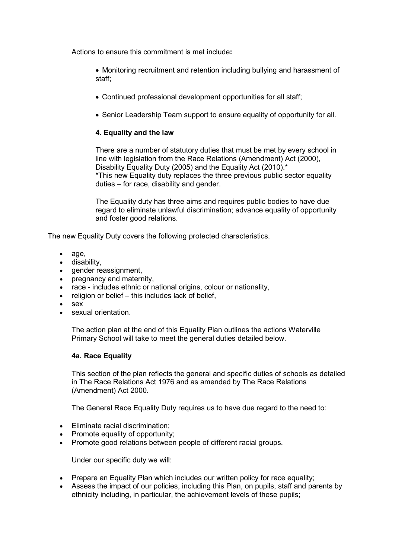Actions to ensure this commitment is met include:

 Monitoring recruitment and retention including bullying and harassment of staff;

- Continued professional development opportunities for all staff;
- Senior Leadership Team support to ensure equality of opportunity for all.

# 4. Equality and the law

There are a number of statutory duties that must be met by every school in line with legislation from the Race Relations (Amendment) Act (2000), Disability Equality Duty (2005) and the Equality Act (2010).\* \*This new Equality duty replaces the three previous public sector equality duties – for race, disability and gender.

The Equality duty has three aims and requires public bodies to have due regard to eliminate unlawful discrimination; advance equality of opportunity and foster good relations.

The new Equality Duty covers the following protected characteristics.

- age,
- disability,
- gender reassignment,
- pregnancy and maternity,
- race includes ethnic or national origins, colour or nationality,
- $\bullet$  religion or belief this includes lack of belief.
- sex
- sexual orientation.

The action plan at the end of this Equality Plan outlines the actions Waterville Primary School will take to meet the general duties detailed below.

### 4a. Race Equality

This section of the plan reflects the general and specific duties of schools as detailed in The Race Relations Act 1976 and as amended by The Race Relations (Amendment) Act 2000.

The General Race Equality Duty requires us to have due regard to the need to:

- Eliminate racial discrimination:
- Promote equality of opportunity;
- Promote good relations between people of different racial groups.

Under our specific duty we will:

- Prepare an Equality Plan which includes our written policy for race equality;
- Assess the impact of our policies, including this Plan, on pupils, staff and parents by ethnicity including, in particular, the achievement levels of these pupils;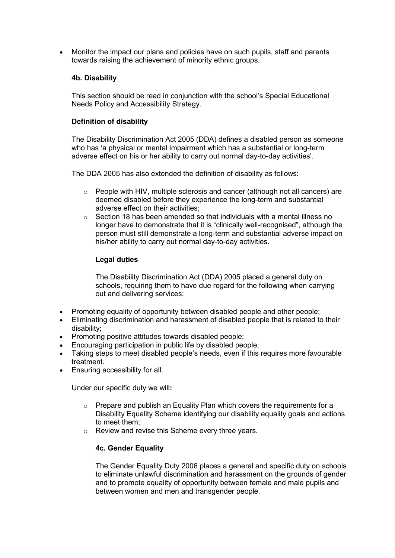Monitor the impact our plans and policies have on such pupils, staff and parents towards raising the achievement of minority ethnic groups.

#### 4b. Disability

This section should be read in conjunction with the school's Special Educational Needs Policy and Accessibility Strategy.

#### Definition of disability

The Disability Discrimination Act 2005 (DDA) defines a disabled person as someone who has 'a physical or mental impairment which has a substantial or long-term adverse effect on his or her ability to carry out normal day-to-day activities'.

The DDA 2005 has also extended the definition of disability as follows:

- $\circ$  People with HIV, multiple sclerosis and cancer (although not all cancers) are deemed disabled before they experience the long-term and substantial adverse effect on their activities;
- o Section 18 has been amended so that individuals with a mental illness no longer have to demonstrate that it is "clinically well-recognised", although the person must still demonstrate a long-term and substantial adverse impact on his/her ability to carry out normal day-to-day activities.

#### Legal duties

The Disability Discrimination Act (DDA) 2005 placed a general duty on schools, requiring them to have due regard for the following when carrying out and delivering services:

- Promoting equality of opportunity between disabled people and other people;
- Eliminating discrimination and harassment of disabled people that is related to their disability;
- Promoting positive attitudes towards disabled people;
- Encouraging participation in public life by disabled people;
- Taking steps to meet disabled people's needs, even if this requires more favourable treatment.
- Ensuring accessibility for all.

Under our specific duty we will:

- o Prepare and publish an Equality Plan which covers the requirements for a Disability Equality Scheme identifying our disability equality goals and actions to meet them;
- o Review and revise this Scheme every three years.

### 4c. Gender Equality

The Gender Equality Duty 2006 places a general and specific duty on schools to eliminate unlawful discrimination and harassment on the grounds of gender and to promote equality of opportunity between female and male pupils and between women and men and transgender people.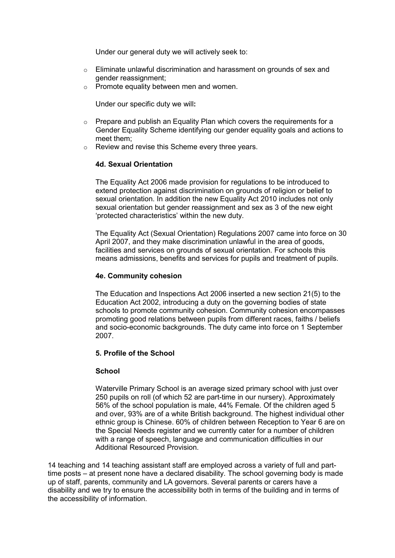Under our general duty we will actively seek to:

- $\circ$  Eliminate unlawful discrimination and harassment on grounds of sex and gender reassignment;
- o Promote equality between men and women.

Under our specific duty we will:

- o Prepare and publish an Equality Plan which covers the requirements for a Gender Equality Scheme identifying our gender equality goals and actions to meet them;
- o Review and revise this Scheme every three years.

## 4d. Sexual Orientation

The Equality Act 2006 made provision for regulations to be introduced to extend protection against discrimination on grounds of religion or belief to sexual orientation. In addition the new Equality Act 2010 includes not only sexual orientation but gender reassignment and sex as 3 of the new eight 'protected characteristics' within the new duty.

The Equality Act (Sexual Orientation) Regulations 2007 came into force on 30 April 2007, and they make discrimination unlawful in the area of goods, facilities and services on grounds of sexual orientation. For schools this means admissions, benefits and services for pupils and treatment of pupils.

## 4e. Community cohesion

The Education and Inspections Act 2006 inserted a new section 21(5) to the Education Act 2002, introducing a duty on the governing bodies of state schools to promote community cohesion. Community cohesion encompasses promoting good relations between pupils from different races, faiths / beliefs and socio-economic backgrounds. The duty came into force on 1 September 2007.

### 5. Profile of the School

### **School**

Waterville Primary School is an average sized primary school with just over 250 pupils on roll (of which 52 are part-time in our nursery). Approximately 56% of the school population is male, 44% Female. Of the children aged 5 and over, 93% are of a white British background. The highest individual other ethnic group is Chinese. 60% of children between Reception to Year 6 are on the Special Needs register and we currently cater for a number of children with a range of speech, language and communication difficulties in our Additional Resourced Provision.

14 teaching and 14 teaching assistant staff are employed across a variety of full and parttime posts – at present none have a declared disability. The school governing body is made up of staff, parents, community and LA governors. Several parents or carers have a disability and we try to ensure the accessibility both in terms of the building and in terms of the accessibility of information.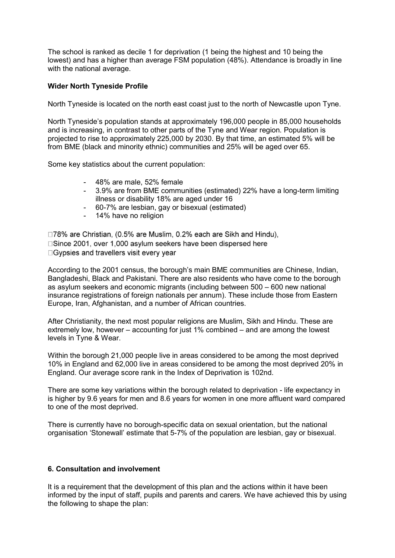The school is ranked as decile 1 for deprivation (1 being the highest and 10 being the lowest) and has a higher than average FSM population (48%). Attendance is broadly in line with the national average.

### Wider North Tyneside Profile

North Tyneside is located on the north east coast just to the north of Newcastle upon Tyne.

North Tyneside's population stands at approximately 196,000 people in 85,000 households and is increasing, in contrast to other parts of the Tyne and Wear region. Population is projected to rise to approximately 225,000 by 2030. By that time, an estimated 5% will be from BME (black and minority ethnic) communities and 25% will be aged over 65.

Some key statistics about the current population:

- 48% are male, 52% female
- 3.9% are from BME communities (estimated) 22% have a long-term limiting illness or disability 18% are aged under 16
- 60-7% are lesbian, gay or bisexual (estimated)
- 14% have no religion

□78% are Christian, (0.5% are Muslim, 0.2% each are Sikh and Hindu), □Since 2001, over 1,000 asylum seekers have been dispersed here □ Gypsies and travellers visit every vear

According to the 2001 census, the borough's main BME communities are Chinese, Indian, Bangladeshi, Black and Pakistani. There are also residents who have come to the borough as asylum seekers and economic migrants (including between 500 – 600 new national insurance registrations of foreign nationals per annum). These include those from Eastern Europe, Iran, Afghanistan, and a number of African countries.

After Christianity, the next most popular religions are Muslim, Sikh and Hindu. These are extremely low, however – accounting for just 1% combined – and are among the lowest levels in Tyne & Wear.

Within the borough 21,000 people live in areas considered to be among the most deprived 10% in England and 62,000 live in areas considered to be among the most deprived 20% in England. Our average score rank in the Index of Deprivation is 102nd.

There are some key variations within the borough related to deprivation - life expectancy in is higher by 9.6 years for men and 8.6 years for women in one more affluent ward compared to one of the most deprived.

There is currently have no borough-specific data on sexual orientation, but the national organisation 'Stonewall' estimate that 5-7% of the population are lesbian, gay or bisexual.

### 6. Consultation and involvement

It is a requirement that the development of this plan and the actions within it have been informed by the input of staff, pupils and parents and carers. We have achieved this by using the following to shape the plan: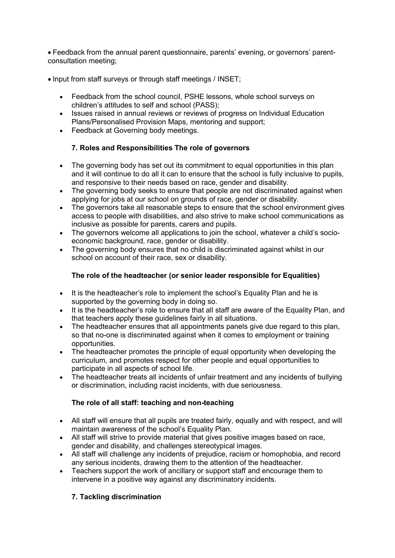Feedback from the annual parent questionnaire, parents' evening, or governors' parentconsultation meeting;

- Input from staff surveys or through staff meetings / INSET;
	- Feedback from the school council, PSHE lessons, whole school surveys on children's attitudes to self and school (PASS);
	- Issues raised in annual reviews or reviews of progress on Individual Education Plans/Personalised Provision Maps, mentoring and support;
	- Feedback at Governing body meetings.

# 7. Roles and Responsibilities The role of governors

- The governing body has set out its commitment to equal opportunities in this plan and it will continue to do all it can to ensure that the school is fully inclusive to pupils, and responsive to their needs based on race, gender and disability.
- The governing body seeks to ensure that people are not discriminated against when applying for jobs at our school on grounds of race, gender or disability.
- The governors take all reasonable steps to ensure that the school environment gives access to people with disabilities, and also strive to make school communications as inclusive as possible for parents, carers and pupils.
- The governors welcome all applications to join the school, whatever a child's socioeconomic background, race, gender or disability.
- The governing body ensures that no child is discriminated against whilst in our school on account of their race, sex or disability.

# The role of the headteacher (or senior leader responsible for Equalities)

- It is the headteacher's role to implement the school's Equality Plan and he is supported by the governing body in doing so.
- It is the headteacher's role to ensure that all staff are aware of the Equality Plan, and that teachers apply these guidelines fairly in all situations.
- The headteacher ensures that all appointments panels give due regard to this plan, so that no-one is discriminated against when it comes to employment or training opportunities.
- The headteacher promotes the principle of equal opportunity when developing the curriculum, and promotes respect for other people and equal opportunities to participate in all aspects of school life.
- The headteacher treats all incidents of unfair treatment and any incidents of bullying or discrimination, including racist incidents, with due seriousness.

### The role of all staff: teaching and non-teaching

- All staff will ensure that all pupils are treated fairly, equally and with respect, and will maintain awareness of the school's Equality Plan.
- All staff will strive to provide material that gives positive images based on race, gender and disability, and challenges stereotypical images.
- All staff will challenge any incidents of prejudice, racism or homophobia, and record any serious incidents, drawing them to the attention of the headteacher.
- Teachers support the work of ancillary or support staff and encourage them to intervene in a positive way against any discriminatory incidents.

### 7. Tackling discrimination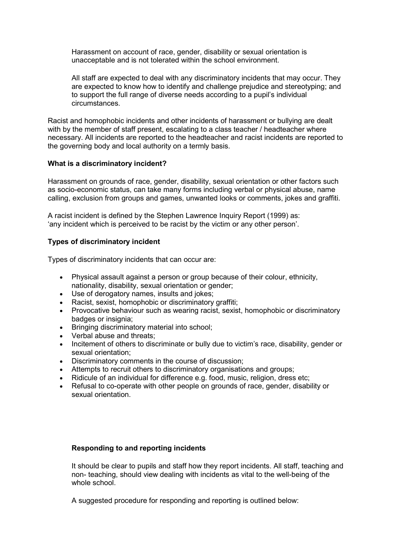Harassment on account of race, gender, disability or sexual orientation is unacceptable and is not tolerated within the school environment.

All staff are expected to deal with any discriminatory incidents that may occur. They are expected to know how to identify and challenge prejudice and stereotyping; and to support the full range of diverse needs according to a pupil's individual circumstances.

Racist and homophobic incidents and other incidents of harassment or bullying are dealt with by the member of staff present, escalating to a class teacher / headteacher where necessary. All incidents are reported to the headteacher and racist incidents are reported to the governing body and local authority on a termly basis.

### What is a discriminatory incident?

Harassment on grounds of race, gender, disability, sexual orientation or other factors such as socio-economic status, can take many forms including verbal or physical abuse, name calling, exclusion from groups and games, unwanted looks or comments, jokes and graffiti.

A racist incident is defined by the Stephen Lawrence Inquiry Report (1999) as: 'any incident which is perceived to be racist by the victim or any other person'.

### Types of discriminatory incident

Types of discriminatory incidents that can occur are:

- Physical assault against a person or group because of their colour, ethnicity, nationality, disability, sexual orientation or gender;
- Use of derogatory names, insults and jokes;
- Racist, sexist, homophobic or discriminatory graffiti;
- Provocative behaviour such as wearing racist, sexist, homophobic or discriminatory badges or insignia;
- Bringing discriminatory material into school;
- Verbal abuse and threats;
- Incitement of others to discriminate or bully due to victim's race, disability, gender or sexual orientation;
- Discriminatory comments in the course of discussion;
- Attempts to recruit others to discriminatory organisations and groups;
- Ridicule of an individual for difference e.g. food, music, religion, dress etc;
- Refusal to co-operate with other people on grounds of race, gender, disability or sexual orientation.

### Responding to and reporting incidents

It should be clear to pupils and staff how they report incidents. All staff, teaching and non- teaching, should view dealing with incidents as vital to the well-being of the whole school.

A suggested procedure for responding and reporting is outlined below: